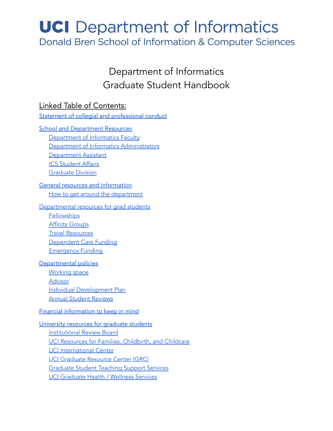# **UCI** Department of Informatics

Donald Bren School of Information & Computer Sciences

# Department of Informatics Graduate Student Handbook

## Linked Table of Contents:

#### Statement of collegial and [professional](#page-2-0) conduct

School and [Department](#page-5-0) Resources

[Department](#page-5-1) of Informatics Faculty Department of Informatics [Administrators](#page-5-2) **[Department](#page-6-0) Assistant** ICS [Student](#page-6-1) Affairs

[Graduate](#page-6-2) Division

#### General resources and [information](#page-8-0) How to get around the [department](#page-8-1)

#### [Departmental](#page-10-0) resources for grad students

**[Fellowships](#page-10-1) Affinity [Groups](#page-10-2)** Travel [Resources](#page-10-3) [Dependent](#page-11-0) Care Funding **[Emergency](#page-11-1) Funding** 

#### [Departmental](#page-12-0) policies

[Working](#page-12-1) space **[Advisor](#page-12-2)** Individual [Development](#page-12-3) Plan Annual Student [Reviews](#page-13-0)

#### Financial [information](#page-14-0) to keep in mind

[University](#page-15-0) resources for graduate students [Institutional](#page-15-1) Review Board UCI Resources for Families, [Childbirth,](#page-15-2) and Childcare UCI [International](#page-16-0) Center UCI [Graduate](#page-16-1) Resource Center (GRC) [Graduate](#page-16-2) Student Teaching Support Services UCI [Graduate](#page-17-0) Health / Wellness Services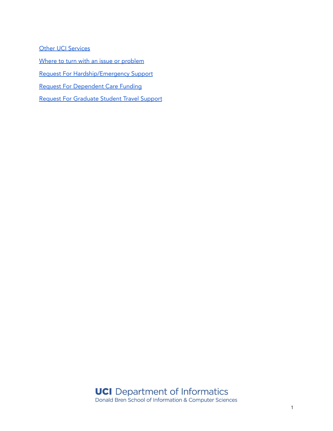**Other UCI [Services](#page-18-0)** 

Where to turn with an issue or [problem](#page-19-0)

Request For [Hardship/Emergency](#page-20-0) Support

Request For [Dependent](#page-21-0) Care Funding

Request For [Graduate](#page-22-0) Student Travel Support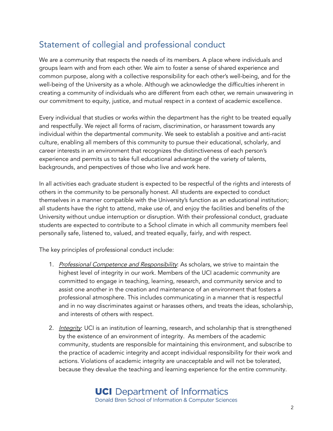# <span id="page-2-0"></span>Statement of collegial and professional conduct

We are a community that respects the needs of its members. A place where individuals and groups learn with and from each other. We aim to foster a sense of shared experience and common purpose, along with a collective responsibility for each other's well-being, and for the well-being of the University as a whole. Although we acknowledge the difficulties inherent in creating a community of individuals who are different from each other, we remain unwavering in our commitment to equity, justice, and mutual respect in a context of academic excellence.

Every individual that studies or works within the department has the right to be treated equally and respectfully. We reject all forms of racism, discrimination, or harassment towards any individual within the departmental community. We seek to establish a positive and anti-racist culture, enabling all members of this community to pursue their educational, scholarly, and career interests in an environment that recognizes the distinctiveness of each person's experience and permits us to take full educational advantage of the variety of talents, backgrounds, and perspectives of those who live and work here.

In all activities each graduate student is expected to be respectful of the rights and interests of others in the community to be personally honest. All students are expected to conduct themselves in a manner compatible with the University's function as an educational institution; all students have the right to attend, make use of, and enjoy the facilities and benefits of the University without undue interruption or disruption. With their professional conduct, graduate students are expected to contribute to a School climate in which all community members feel personally safe, listened to, valued, and treated equally, fairly, and with respect.

The key principles of professional conduct include:

- 1. Professional Competence and Responsibility: As scholars, we strive to maintain the highest level of integrity in our work. Members of the UCI academic community are committed to engage in teaching, learning, research, and community service and to assist one another in the creation and maintenance of an environment that fosters a professional atmosphere. This includes communicating in a manner that is respectful and in no way discriminates against or harasses others, and treats the ideas, scholarship, and interests of others with respect.
- 2. *Integrity*: UCI is an institution of learning, research, and scholarship that is strengthened by the existence of an environment of integrity. As members of the academic community, students are responsible for maintaining this environment, and subscribe to the practice of academic integrity and accept individual responsibility for their work and actions. Violations of academic integrity are unacceptable and will not be tolerated, because they devalue the teaching and learning experience for the entire community.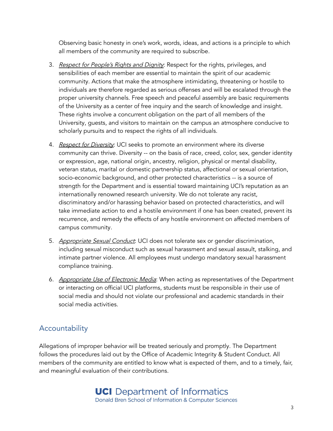Observing basic honesty in one's work, words, ideas, and actions is a principle to which all members of the community are required to subscribe.

- 3. Respect for People's Rights and Dignity: Respect for the rights, privileges, and sensibilities of each member are essential to maintain the spirit of our academic community. Actions that make the atmosphere intimidating, threatening or hostile to individuals are therefore regarded as serious offenses and will be escalated through the proper university channels. Free speech and peaceful assembly are basic requirements of the University as a center of free inquiry and the search of knowledge and insight. These rights involve a concurrent obligation on the part of all members of the University, guests, and visitors to maintain on the campus an atmosphere conducive to scholarly pursuits and to respect the rights of all individuals.
- 4. Respect for Diversity: UCI seeks to promote an environment where its diverse community can thrive. Diversity -- on the basis of race, creed, color, sex, gender identity or expression, age, national origin, ancestry, religion, physical or mental disability, veteran status, marital or domestic partnership status, affectional or sexual orientation, socio-economic background, and other protected characteristics -- is a source of strength for the Department and is essential toward maintaining UCI's reputation as an internationally renowned research university. We do not tolerate any racist, discriminatory and/or harassing behavior based on protected characteristics, and will take immediate action to end a hostile environment if one has been created, prevent its recurrence, and remedy the effects of any hostile environment on affected members of campus community.
- 5. Appropriate Sexual Conduct: UCI does not tolerate sex or gender discrimination, including sexual misconduct such as sexual harassment and sexual assault, stalking, and intimate partner violence. All employees must undergo mandatory sexual harassment compliance training.
- 6. Appropriate Use of Electronic Media: When acting as representatives of the Department or interacting on official UCI platforms, students must be responsible in their use of social media and should not violate our professional and academic standards in their social media activities.

# Accountability

Allegations of improper behavior will be treated seriously and promptly. The Department follows the procedures laid out by the Office of Academic Integrity & Student Conduct. All members of the community are entitled to know what is expected of them, and to a timely, fair, and meaningful evaluation of their contributions.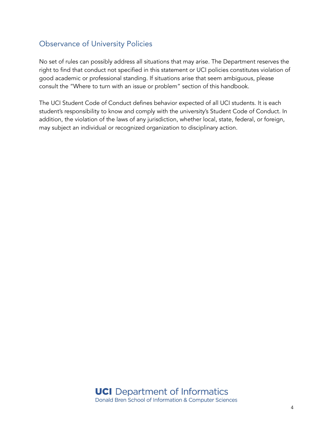# Observance of University Policies

No set of rules can possibly address all situations that may arise. The Department reserves the right to find that conduct not specified in this statement or UCI policies constitutes violation of good academic or professional standing. If situations arise that seem ambiguous, please consult the "Where to turn with an issue or problem" section of this handbook.

The UCI Student Code of Conduct defines behavior expected of all UCI students. It is each student's responsibility to know and comply with the university's Student Code of Conduct. In addition, the violation of the laws of any jurisdiction, whether local, state, federal, or foreign, may subject an individual or recognized organization to disciplinary action.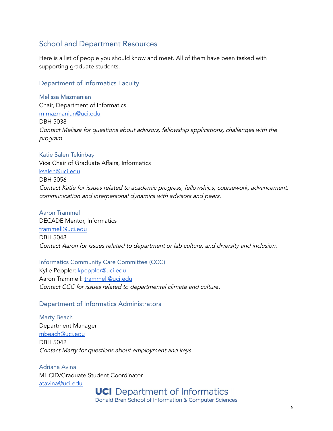### <span id="page-5-0"></span>School and Department Resources

Here is a list of people you should know and meet. All of them have been tasked with supporting graduate students.

#### <span id="page-5-1"></span>Department of Informatics Faculty

Melissa Mazmanian Chair, Department of Informatics [m.mazmanian@uci.edu](mailto:m.mazmanian@uci.edu) DBH 5038 Contact Melissa for questions about advisors, fellowship applications, challenges with the program.

Katie Salen Tekinbaş Vice Chair of Graduate Affairs, Informatics [ksalen@uci.edu](mailto:ksalen@uci.edu) DBH 5056 Contact Katie for issues related to academic progress, fellowships, coursework, advancement, communication and interpersonal dynamics with advisors and peers.

Aaron Trammel DECADE Mentor, Informatics [trammell@uci.edu](mailto:trammell@uci.edu) DBH 5048 Contact Aaron for issues related to department or lab culture, and diversity and inclusion.

#### Informatics Community Care Committee (CCC)

Kylie Peppler: [kpeppler@uci.edu](mailto:kpeppler@uci.edu) Aaron Trammell: [trammell@uci.edu](mailto:trammell@uci.edu) Contact CCC for issues related to departmental climate and culture.

#### <span id="page-5-2"></span>Department of Informatics Administrators

Marty Beach Department Manager [mbeach@uci.edu](mailto:mbeach@uci.edu) DBH 5042 Contact Marty for questions about employment and keys.

Adriana Avina MHCID/Graduate Student Coordinator [atavina@uci.edu](mailto:atavina@uci.edu)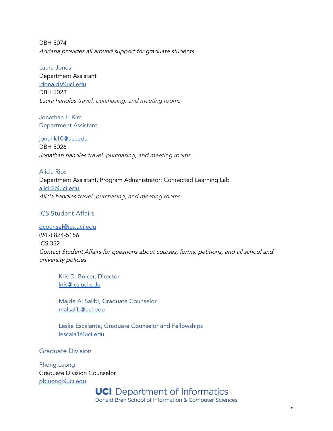DBH 5074 Adriana provides all around support for graduate students.

Laura Jones Department Assistant [ldonalds@uci.edu](mailto:ldonalds@uci.edu) DBH 5028 Laura handles travel, purchasing, and meeting rooms.

<span id="page-6-0"></span>Jonathan H Kim Department Assistant

[jonahk10@uci.edu](mailto:jonahk10@uci.edu) DBH 5026 Jonathan handles travel, purchasing, and meeting rooms.

Alicia Rios Department Assistant, Program Administrator: Connected Learning Lab [alicir2@uci.edu](mailto:alicir2@uci.edu) Alicia handles travel, purchasing, and meeting rooms.

#### <span id="page-6-1"></span>ICS Student Affairs

[gcounsel@ics.uci.edu](mailto:gcounsel@ics.uci.edu) (949) 824-5156 ICS 352 Contact Student Affairs for questions about courses, forms, petitions, and all school and university policies.

Kris D. Bolcer, Director [kris@ics.uci.edu](mailto:kris@ics.uci.edu)

Majde Al Salibi, Graduate Counselor [malsalib@uci.edu](mailto:malsalib@uci.edu)

Leslie Escalante, Graduate Counselor and Fellowships [lescala1@uci.edu](mailto:lescala1@uci.edu)

<span id="page-6-2"></span>Graduate Division

Phong Luong Graduate Division Counselor [pbluong@uci.edu](mailto:pbluong@uci.edu)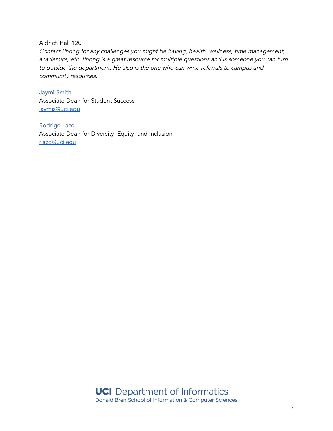Aldrich Hall 120

Contact Phong for any challenges you might be having, health, wellness, time management, academics, etc. Phong is <sup>a</sup> great resource for multiple questions and is someone you can turn to outside the department. He also is the one who can write referrals to campus and community resources.

Jaymi Smith Associate Dean for Student Success [jaymis@uci.edu](mailto:jaymis@uci.edu)

Rodrigo Lazo Associate Dean for Diversity, Equity, and Inclusion [rlazo@uci.edu](mailto:rlazo@uci.edu)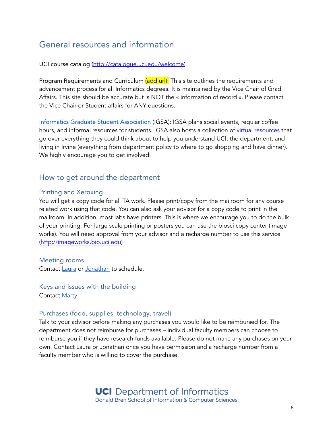# <span id="page-8-0"></span>General resources and information

UCI course catalog [\(http://catalogue.uci.edu/welcome](http://catalogue.uci.edu/welcome))

Program Requirements and Curriculum (add url): This site outlines the requirements and advancement process for all Informatics degrees. It is maintained by the Vice Chair of Grad Affairs. This site should be accurate but is NOT the « information of record ». Please contact the Vice Chair or Student affairs for ANY questions.

Informatics Graduate Student [Association](http://sites.uci.edu/igsa) (IGSA): IGSA plans social events, regular coffee hours, and informal [resources](https://drive.google.com/drive/folders/1tZbXZDFY6tObfyfkPeoZSbqiNRmsH5Lt) for students. IGSA also hosts a collection of virtual resources that go over everything they could think about to help you understand UCI, the department, and living in Irvine (everything from department policy to where to go shopping and have dinner). We highly encourage you to get involved!

#### <span id="page-8-1"></span>How to get around the department

#### Printing and Xeroxing

You will get a copy code for all TA work. Please print/copy from the mailroom for any course related work using that code. You can also ask your advisor for a copy code to print in the mailroom. In addition, most labs have printers. This is where we encourage you to do the bulk of your printing. For large scale printing or posters you can use the biosci copy center (image works). You will need approval from your advisor and a recharge number to use this service ([http://imageworks.bio.uci.edu\)](http://imageworks.bio.uci.edu)

#### Meeting rooms

Contact [Laura](mailto:ldonalds@uci.edu) or [Jonathan](mailto:jonahk10@uci.edu) to schedule.

Keys and issues with the building Contact [Marty](mailto:mbeach@uci.edu)

#### Purchases (food, supplies, technology, travel)

Talk to your advisor before making any purchases you would like to be reimbursed for. The department does not reimburse for purchases – individual faculty members can choose to reimburse you if they have research funds available. Please do not make any purchases on your own. Contact Laura or Jonathan once you have permission and a recharge number from a faculty member who is willing to cover the purchase.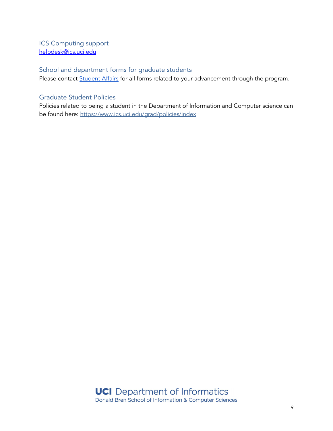ICS Computing support helpdesk@ics.uci.edu

### School and department forms for graduate students

Please contact **[Student](mailto:gcounsel@ics.uci.edu) Affairs** for all forms related to your advancement through the program.

#### Graduate Student Policies

Policies related to being a student in the Department of Information and Computer science can be found here: https://www.ics.uci.edu/grad/policies/index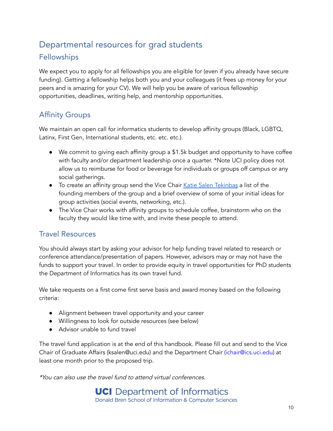# <span id="page-10-0"></span>Departmental resources for grad students

# <span id="page-10-1"></span>**Fellowships**

We expect you to apply for all fellowships you are eligible for (even if you already have secure funding). Getting a fellowship helps both you and your colleagues (it frees up money for your peers and is amazing for your CV). We will help you be aware of various fellowship opportunities, deadlines, writing help, and mentorship opportunities.

# <span id="page-10-2"></span>Affinity Groups

We maintain an open call for informatics students to develop affinity groups (Black, LGBTQ, Latinx, First Gen, International students, etc. etc. etc.).

- We commit to giving each affinity group a \$1.5k budget and opportunity to have coffee with faculty and/or department leadership once a quarter. \*Note UCI policy does not allow us to reimburse for food or beverage for individuals or groups off campus or any social gatherings.
- To create an affinity group send the Vice Chair Katie Salen Tekinbas a list of the founding members of the group and a brief overview of some of your initial ideas for group activities (social events, networking, etc.).
- The Vice Chair works with affinity groups to schedule coffee, brainstorm who on the faculty they would like time with, and invite these people to attend.

### <span id="page-10-3"></span>Travel Resources

You should always start by asking your advisor for help funding travel related to research or conference attendance/presentation of papers. However, advisors may or may not have the funds to support your travel. In order to provide equity in travel opportunities for PhD students the Department of Informatics has its own travel fund.

We take requests on a first come first serve basis and award money based on the following criteria:

- Alignment between travel opportunity and your career
- Willingness to look for outside resources (see below)
- Advisor unable to fund travel

The travel fund application is at the end of this handbook. Please fill out and send to the Vice Chair of Graduate Affairs (ksalen@uci.edu) and the Department Chair (ichair@ics.uci.edu) at least one month prior to the proposed trip.

\*You can also use the travel fund to attend virtual conferences.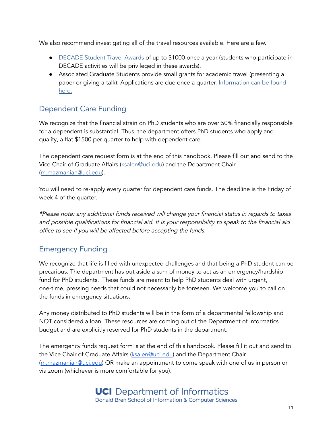We also recommend investigating all of the travel resources available. Here are a few.

- [DECADE](https://grad.uci.edu/about-us/diversity/decade/index.php) Student Travel Awards of up to \$1000 once a year (students who participate in DECADE activities will be privileged in these awards).
- Associated Graduate Students provide small grants for academic travel (presenting a paper or giving a talk). Applications are due once a quarter. [Information](https://www.ags.uci.edu/services/travel/) can be found [here.](https://www.ags.uci.edu/services/travel/)

# <span id="page-11-0"></span>Dependent Care Funding

We recognize that the financial strain on PhD students who are over 50% financially responsible for a dependent is substantial. Thus, the department offers PhD students who apply and qualify, a flat \$1500 per quarter to help with dependent care.

The dependent care request form is at the end of this handbook. Please fill out and send to the Vice Chair of Graduate Affairs (ksalen@uci.edu) and the Department Chair ([m.mazmanian@uci.edu\)](mailto:m.mazmanian@uci.edu).

You will need to re-apply every quarter for dependent care funds. The deadline is the Friday of week 4 of the quarter.

\*Please note: any additional funds received will change your financial status in regards to taxes and possible qualifications for financial aid. It is your responsibility to speak to the financial aid office to see if you will be affected before accepting the funds.

# <span id="page-11-1"></span>Emergency Funding

We recognize that life is filled with unexpected challenges and that being a PhD student can be precarious. The department has put aside a sum of money to act as an emergency/hardship fund for PhD students. These funds are meant to help PhD students deal with urgent, one-time, pressing needs that could not necessarily be foreseen. We welcome you to call on the funds in emergency situations.

Any money distributed to PhD students will be in the form of a departmental fellowship and NOT considered a loan. These resources are coming out of the Department of Informatics budget and are explicitly reserved for PhD students in the department.

The emergency funds request form is at the end of this handbook. Please fill it out and send to the Vice Chair of Graduate Affairs (ksalen@uci.edu) and the Department Chair ([m.mazmanian@uci.edu\)](mailto:m.mazmanian@uci.edu) OR make an appointment to come speak with one of us in person or via zoom (whichever is more comfortable for you).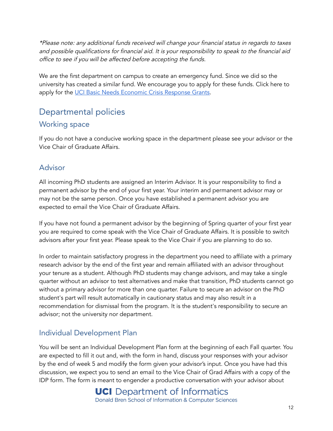\*Please note: any additional funds received will change your financial status in regards to taxes and possible qualifications for financial aid. It is your responsibility to speak to the financial aid office to see if you will be affected before accepting the funds.

We are the first department on campus to create an emergency fund. Since we did so the university has created a similar fund. We encourage you to apply for these funds. Click here to apply for the UCI Basic Needs [Economic](https://basicneeds.uci.edu/community-resources/ecrt-grant.php) Crisis Response Grants.

# <span id="page-12-0"></span>Departmental policies

### <span id="page-12-1"></span>Working space

If you do not have a conducive working space in the department please see your advisor or the Vice Chair of Graduate Affairs.

### <span id="page-12-2"></span>Advisor

All incoming PhD students are assigned an Interim Advisor. It is your responsibility to find a permanent advisor by the end of your first year. Your interim and permanent advisor may or may not be the same person. Once you have established a permanent advisor you are expected to email the Vice Chair of Graduate Affairs.

If you have not found a permanent advisor by the beginning of Spring quarter of your first year you are required to come speak with the Vice Chair of Graduate Affairs. It is possible to switch advisors after your first year. Please speak to the Vice Chair if you are planning to do so.

In order to maintain satisfactory progress in the department you need to affiliate with a primary research advisor by the end of the first year and remain affiliated with an advisor throughout your tenure as a student. Although PhD students may change advisors, and may take a single quarter without an advisor to test alternatives and make that transition, PhD students cannot go without a primary advisor for more than one quarter. Failure to secure an advisor on the PhD student's part will result automatically in cautionary status and may also result in a recommendation for dismissal from the program. It is the student's responsibility to secure an advisor; not the university nor department.

# <span id="page-12-3"></span>Individual Development Plan

You will be sent an Individual Development Plan form at the beginning of each Fall quarter. You are expected to fill it out and, with the form in hand, discuss your responses with your advisor by the end of week 5 and modify the form given your advisor's input. Once you have had this discussion, we expect you to send an email to the Vice Chair of Grad Affairs with a copy of the IDP form. The form is meant to engender a productive conversation with your advisor about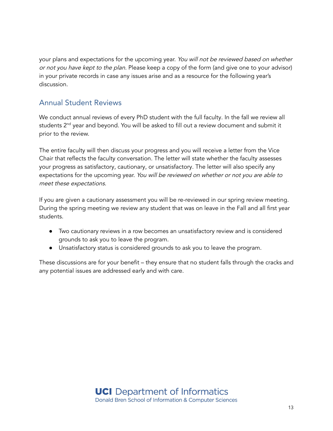your plans and expectations for the upcoming year. You will not be reviewed based on whether or not you have kept to the plan. Please keep a copy of the form (and give one to your advisor) in your private records in case any issues arise and as a resource for the following year's discussion.

# <span id="page-13-0"></span>Annual Student Reviews

We conduct annual reviews of every PhD student with the full faculty. In the fall we review all students 2<sup>nd</sup> year and beyond. You will be asked to fill out a review document and submit it prior to the review.

The entire faculty will then discuss your progress and you will receive a letter from the Vice Chair that reflects the faculty conversation. The letter will state whether the faculty assesses your progress as satisfactory, cautionary, or unsatisfactory. The letter will also specify any expectations for the upcoming year. You will be reviewed on whether or not you are able to meet these expectations.

If you are given a cautionary assessment you will be re-reviewed in our spring review meeting. During the spring meeting we review any student that was on leave in the Fall and all first year students.

- Two cautionary reviews in a row becomes an unsatisfactory review and is considered grounds to ask you to leave the program.
- Unsatisfactory status is considered grounds to ask you to leave the program.

These discussions are for your benefit – they ensure that no student falls through the cracks and any potential issues are addressed early and with care.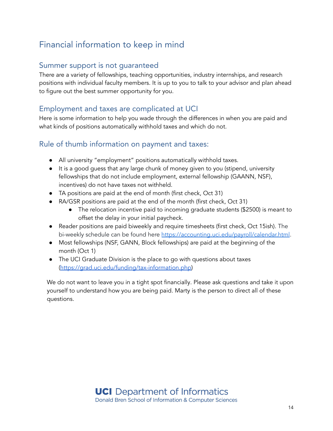# <span id="page-14-0"></span>Financial information to keep in mind

### Summer support is not guaranteed

There are a variety of fellowships, teaching opportunities, industry internships, and research positions with individual faculty members. It is up to you to talk to your advisor and plan ahead to figure out the best summer opportunity for you.

## Employment and taxes are complicated at UCI

Here is some information to help you wade through the differences in when you are paid and what kinds of positions automatically withhold taxes and which do not.

### Rule of thumb information on payment and taxes:

- All university "employment" positions automatically withhold taxes.
- It is a good guess that any large chunk of money given to you (stipend, university fellowships that do not include employment, external fellowship (GAANN, NSF), incentives) do not have taxes not withheld.
- TA positions are paid at the end of month (first check, Oct 31)
- RA/GSR positions are paid at the end of the month (first check, Oct 31)
	- The relocation incentive paid to incoming graduate students (\$2500) is meant to offset the delay in your initial paycheck.
- Reader positions are paid biweekly and require timesheets (first check, Oct 15ish). The bi-weekly schedule can be found here <https://accounting.uci.edu/payroll/calendar.html>.
- Most fellowships (NSF, GANN, Block fellowships) are paid at the beginning of the month (Oct 1)
- The UCI Graduate Division is the place to go with questions about taxes ([https://grad.uci.edu/funding/tax-information.php\)](https://grad.uci.edu/funding/tax-information.php)

We do not want to leave you in a tight spot financially. Please ask questions and take it upon yourself to understand how you are being paid. Marty is the person to direct all of these questions.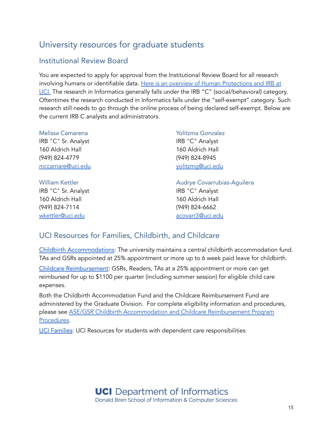# <span id="page-15-0"></span>University resources for graduate students

# <span id="page-15-1"></span>Institutional Review Board

You are expected to apply for approval from the Institutional Review Board for all research involving humans or identifiable data. Here is an overview of Human [Protections](https://research.uci.edu/compliance/human-research-protections/about-the-irb/index.html) and IRB at [UCI.](https://research.uci.edu/compliance/human-research-protections/about-the-irb/index.html) The research in Informatics generally falls under the IRB "C" (social/behavioral) category. Oftentimes the research conducted in Informatics falls under the "self-exempt" category. Such research still needs to go through the online process of being declared self-exempt. Below are the current IRB C analysts and administrators.

| Melissa Camarena        | Yolitzma Gonzalez           |
|-------------------------|-----------------------------|
| IRB "C" Sr. Analyst     | IRB "C" Analyst             |
| 160 Aldrich Hall        | 160 Aldrich Hall            |
| (949) 824-4779          | (949) 824-8945              |
| mccamare@uci.edu        | yolitzmq@uci.edu            |
|                         |                             |
| <b>William Kettler</b>  | Audrye Covarrubias-Aguilera |
| IRB "C" Sr. Analyst     | IRB "C" Analyst             |
| 160 Aldrich Hall        | 160 Aldrich Hall            |
| (949) 824-7114          | $(949)$ 824-6662            |
| <u>wkettler@uci.edu</u> | acovarr3@uci.edu            |
|                         |                             |

# <span id="page-15-2"></span>UCI Resources for Families, Childbirth, and Childcare

Childbirth [Accommodations](https://grad.uci.edu/funding/employment/child-care.php): The university maintains a central childbirth accommodation fund. TAs and GSRs appointed at 25% appointment or more up to 6 week paid leave for childbirth.

Childcare [Reimbursement](https://grad.uci.edu/funding/employment/child-care.php): GSRs, Readers, TAs at a 25% appointment or more can get reimbursed for up to \$1100 per quarter (including summer session) for eligible child care expenses.

Both the Childbirth Accommodation Fund and the Childcare Reimbursement Fund are administered by the Graduate Division. For complete eligibility information and procedures, please see ASE/GSR Childbirth [Accommodation](https://grad.uci.edu/forms/faculty-and-staff/cba-ccr_proc_SEP_2018.pdf) and Childcare Reimbursement Program [Procedures.](https://grad.uci.edu/forms/faculty-and-staff/cba-ccr_proc_SEP_2018.pdf)

UCI [Families](https://families.uci.edu): UCI Resources for students with dependent care responsibilities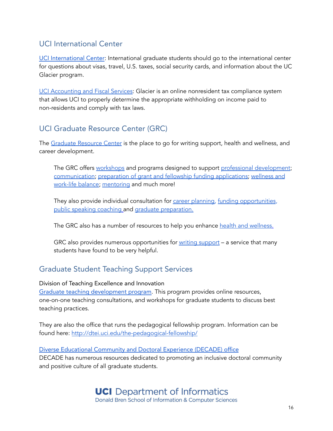# <span id="page-16-0"></span>UCI International Center

UCI [International](https://ic.uci.edu) Center: International graduate students should go to the international center for questions about visas, travel, U.S. taxes, social security cards, and information about the UC Glacier program.

UCI [Accounting](http://www.accounting.uci.edu/tax/non-resident/index.html) and Fiscal Services: Glacier is an online nonresident tax compliance system that allows UCI to properly determine the appropriate withholding on income paid to non-residents and comply with tax laws.

### <span id="page-16-1"></span>UCI Graduate Resource Center (GRC)

The [Graduate](https://grad.uci.edu/services/grc/index.php) Resource Center is the place to go for writing support, health and wellness, and career development.

The GRC offers [workshops](https://grad.uci.edu/professional-success/workshops.php) and programs designed to support professional [development](https://grad.uci.edu/professional-success/index.php)[;](https://grad.uci.edu/professional-success/communications-and-cultural-fluency.php) [communication](https://grad.uci.edu/professional-success/communications-and-cultural-fluency.php); preparation of grant and fellowship funding [applications;](https://grad.uci.edu/services/grc/outreach-services.php) [wellness](https://grad.uci.edu/professional-success/life-skills.php) and [work-life](https://grad.uci.edu/professional-success/life-skills.php) balance; [mentoring](https://grad.uci.edu/academics/mentoring.php) and much more!

They also provide individual consultation for career [planning,](https://grad.uci.edu/services/grc/outreach-services.php) funding [opportunities](https://grad.uci.edu/services/grc/outreach-services.php), public speaking [coaching](https://grad.uci.edu/services/grc/outreach-services.php) and graduate [preparation.](https://grad.uci.edu/services/grc/outreach-services.php)

The GRC also has a number of resources to help you enhance health and [wellness.](https://grad.uci.edu/services/health-and-wellness.php)

GRC also provides numerous opportunities for writing [support](https://grad.uci.edu/services/grc/writing-support.php) – a service that many students have found to be very helpful.

# <span id="page-16-2"></span>Graduate Student Teaching Support Services

Division of Teaching Excellence and Innovation

Graduate teaching [development](http://dtei.uci.edu/graduate-post-doc-teaching-development/) program. This program provides online resources, one-on-one teaching consultations, and workshops for graduate students to discuss best teaching practices.

They are also the office that runs the pedagogical fellowship program. Information can be found here: <http://dtei.uci.edu/the-pedagogical-fellowship/>

Diverse [Educational](https://inclusion.uci.edu/decade/) Community and Doctoral Experience (DECADE) office DECADE has numerous resources dedicated to promoting an inclusive doctoral community and positive culture of all graduate students.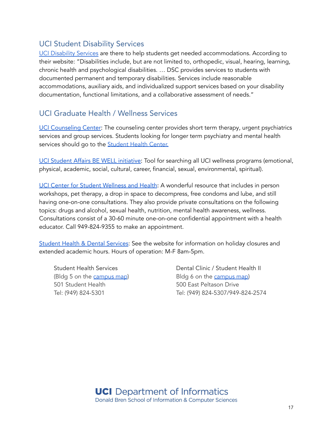### UCI Student Disability Services

UCI [Disability](https://www.dsc.uci.edu) Services are there to help students get needed accommodations. According to their website: "Disabilities include, but are not limited to, orthopedic, visual, hearing, learning, chronic health and psychological disabilities. … DSC provides services to students with documented permanent and temporary disabilities. Services include reasonable accommodations, auxiliary aids, and individualized support services based on your disability documentation, functional limitations, and a collaborative assessment of needs."

### <span id="page-17-0"></span>UCI Graduate Health / Wellness Services

UCI [Counseling](https://counseling.uci.edu) Center: The counseling center provides short term therapy, urgent psychiatrics services and group services. Students looking for longer term psychiatry and mental health services should go to the **[Student](https://shc.uci.edu/psychiatry-mental-health-services/mission) Health Center.** 

UCI Student Affairs BE WELL [initiative:](https://bewell.uci.edu) Tool for searching all UCI wellness programs (emotional, physical, academic, social, cultural, career, financial, sexual, environmental, spiritual).

UCI Center for Student [Wellness](https://studentwellness.uci.edu) and Health: A wonderful resource that includes in person workshops, pet therapy, a drop in space to decompress, free condoms and lube, and still having one-on-one consultations. They also provide private consultations on the following topics: drugs and alcohol, sexual health, nutrition, mental health awareness, wellness. Consultations consist of a 30-60 minute one-on-one confidential appointment with a health educator. Call 949-824-9355 to make an appointment.

Student Health & Dental [Services](https://shc.uci.edu): See the website for information on holiday closures and extended academic hours. Hours of operation: M-F 8am-5pm.

Student Health Services (Bldg 5 on the [campus](http://www.uci.edu/visit/maps.php/index.php) map) 501 Student Health Tel: (949) 824-5301

Dental Clinic / Student Health II Bldg 6 on the [campus](http://www.uci.edu/visit/maps.php/index.php) map) 500 East Peltason Drive Tel: (949) 824-5307/949-824-2574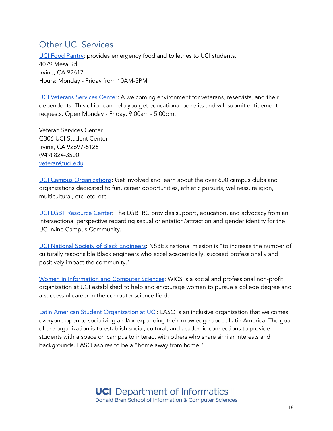# <span id="page-18-0"></span>Other UCI Services

UCI Food [Pantry:](http://basicneeds.uci.edu/get-resources/food-pantry.php) provides emergency food and toiletries to UCI students. 4079 Mesa Rd. Irvine, CA 92617 Hours: Monday - Friday from 10AM-5PM

UCI [Veterans](https://veteran.uci.edu) Services Center: A welcoming environment for veterans, reservists, and their dependents. This office can help you get educational benefits and will submit entitlement requests. Open Monday - Friday, 9:00am - 5:00pm.

Veteran Services Center G306 UCI Student Center Irvine, CA 92697-5125 (949) 824-3500 [veteran@uci.edu](mailto:veteran@uci.edu)

UCI Campus [Organizations](https://campusorgs.uci.edu): Get involved and learn about the over 600 campus clubs and organizations dedicated to fun, career opportunities, athletic pursuits, wellness, religion, multicultural, etc. etc. etc.

UCI LGBT [Resource](https://lgbtrc.uci.edu) Center: The LGBTRC provides support, education, and advocacy from an intersectional perspective regarding sexual orientation/attraction and gender identity for the UC Irvine Campus Community.

UCI National Society of Black [Engineers](http://uci-nsbe.weebly.com): NSBE's national mission is "to increase the number of culturally responsible Black engineers who excel academically, succeed professionally and positively impact the community."

Women in [Information](https://wics.ics.uci.edu/about-us/) and Computer Sciences: WICS is a social and professional non-profit organization at UCI established to help and encourage women to pursue a college degree and a successful career in the computer science field.

Latin American Student [Organization](http://lasouci.weebly.com) at UCI: LASO is an inclusive organization that welcomes everyone open to socializing and/or expanding their knowledge about Latin America. The goal of the organization is to establish social, cultural, and academic connections to provide students with a space on campus to interact with others who share similar interests and backgrounds. LASO aspires to be a "home away from home."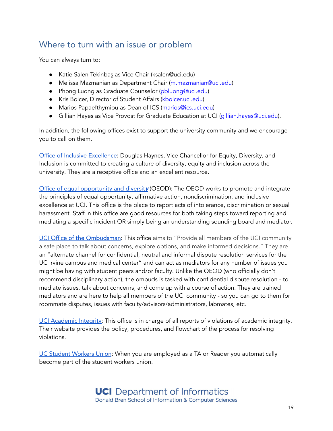# <span id="page-19-0"></span>Where to turn with an issue or problem

You can always turn to:

- Katie Salen Tekinbaş as Vice Chair (ksalen@uci.edu)
- Melissa Mazmanian as Department Chair (m.mazmanian@uci.edu)
- Phong Luong as Graduate Counselor (pbluong@uci.edu)
- Kris Bolcer, Director of Student Affairs [\(kbolcer.uci.edu\)](http://kbolcer.uci.edu)
- Marios Papaefthymiou as Dean of ICS (marios@ics.uci.edu)
- Gillian Hayes as Vice Provost for Graduate Education at UCI (gillian.hayes@uci.edu).

In addition, the following offices exist to support the university community and we encourage you to call on them.

Office of Inclusive [Excellence:](https://inclusion.uci.edu) Douglas Haynes, Vice Chancellor for Equity, Diversity, and Inclusion is committed to creating a culture of diversity, equity and inclusion across the university. They are a receptive office and an excellent resource.

Office of equal [opportunity](http://www.oeod.uci.edu) and diversity (OEOD): The OEOD works to promote and integrate the principles of equal opportunity, affirmative action, nondiscrimination, and inclusive excellence at UCI. This office is the place to report acts of intolerance, discrimination or sexual harassment. Staff in this office are good resources for both taking steps toward reporting and mediating a specific incident OR simply being an understanding sounding board and mediator.

UCI Office of the [Ombudsman](http://ombuds.uci.edu): This office aims to "Provide all members of the UCI community a safe place to talk about concerns, explore options, and make informed decisions." They are an "alternate channel for confidential, neutral and informal dispute resolution services for the UC Irvine campus and medical center" and can act as mediators for any number of issues you might be having with student peers and/or faculty. Unlike the OEOD (who officially don't recommend disciplinary action), the ombuds is tasked with confidential dispute resolution - to mediate issues, talk about concerns, and come up with a course of action. They are trained mediators and are here to help all members of the UCI community - so you can go to them for roommate disputes, issues with faculty/advisors/administrators, labmates, etc.

UCI [Academic](https://aisc.uci.edu/students/academic-integrity/index.php) Integrity: This office is in charge of all reports of violations of academic integrity. Their website provides the policy, procedures, and flowchart of the process for resolving violations.

UC Student [Workers](http://www.uaw2865.org) Union: When you are employed as a TA or Reader you automatically become part of the student workers union.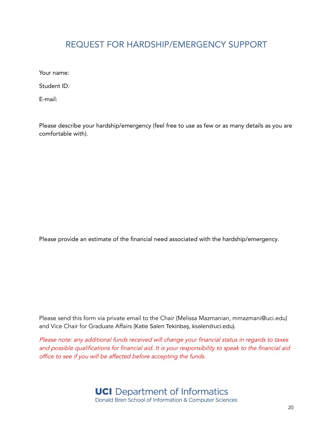# <span id="page-20-0"></span>REQUEST FOR HARDSHIP/EMERGENCY SUPPORT

Your name:

Student ID:

E-mail:

Please describe your hardship/emergency (feel free to use as few or as many details as you are comfortable with).

Please provide an estimate of the financial need associated with the hardship/emergency.

Please send this form via private email to the Chair (Melissa Mazmanian, mmazmani@uci.edu) and Vice Chair for Graduate Affairs (Katie Salen Tekinbaş, ksalen@uci.edu).

Please note: any additional funds received will change your financial status in regards to taxes and possible qualifications for financial aid. It is your responsibility to speak to the financial aid office to see if you will be affected before accepting the funds.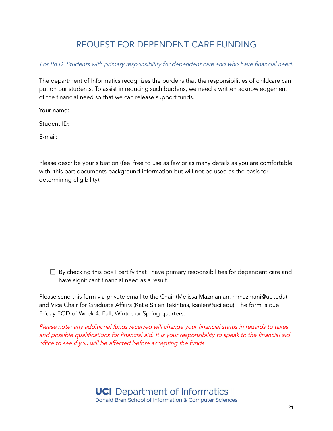# REQUEST FOR DEPENDENT CARE FUNDING

<span id="page-21-0"></span>For Ph.D. Students with primary responsibility for dependent care and who have financial need.

The department of Informatics recognizes the burdens that the responsibilities of childcare can put on our students. To assist in reducing such burdens, we need a written acknowledgement of the financial need so that we can release support funds.

Your name:

Student ID:

E-mail:

Please describe your situation (feel free to use as few or as many details as you are comfortable with; this part documents background information but will not be used as the basis for determining eligibility).

 $\Box$  By checking this box I certify that I have primary responsibilities for dependent care and have significant financial need as a result.

Please send this form via private email to the Chair (Melissa Mazmanian, mmazmani@uci.edu) and Vice Chair for Graduate Affairs (Katie Salen Tekinbaş, ksalen@uci.edu). The form is due Friday EOD of Week 4: Fall, Winter, or Spring quarters.

Please note: any additional funds received will change your financial status in regards to taxes and possible qualifications for financial aid. It is your responsibility to speak to the financial aid office to see if you will be affected before accepting the funds.